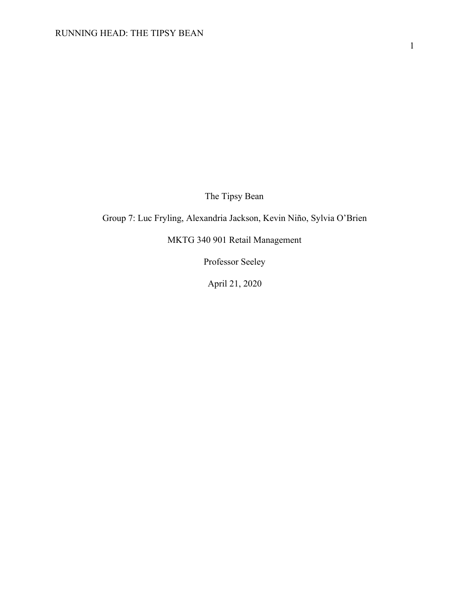The Tipsy Bean

Group 7: Luc Fryling, Alexandria Jackson, Kevin Niño, Sylvia O'Brien

MKTG 340 901 Retail Management

Professor Seeley

April 21, 2020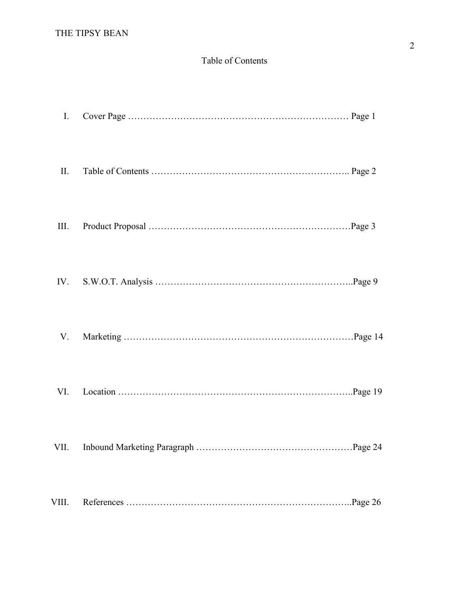# Table of Contents

| I.    |  |
|-------|--|
| II.   |  |
| Ш.    |  |
| IV.   |  |
| V.    |  |
| VI.   |  |
|       |  |
| VIII. |  |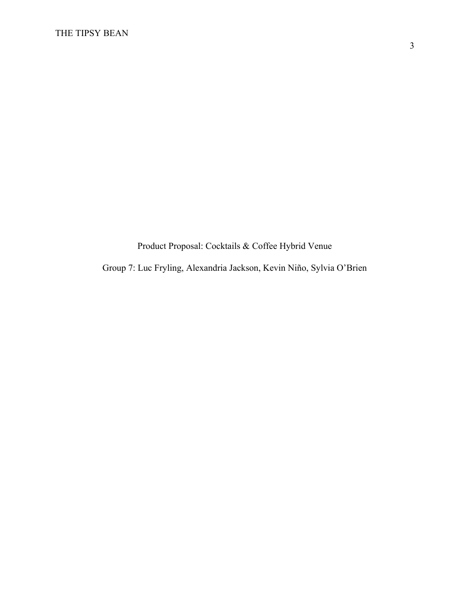Product Proposal: Cocktails & Coffee Hybrid Venue

Group 7: Luc Fryling, Alexandria Jackson, Kevin Niño, Sylvia O'Brien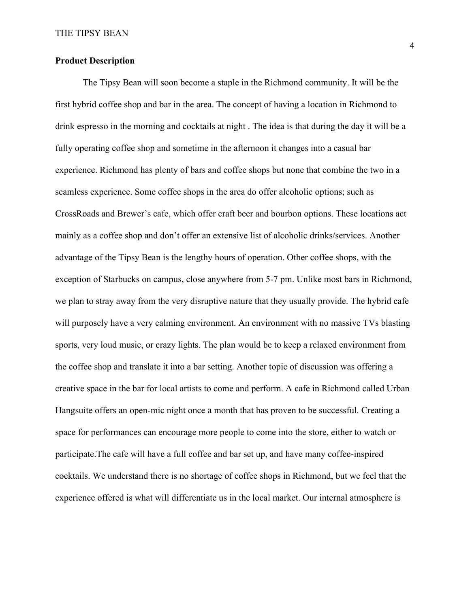# **Product Description**

The Tipsy Bean will soon become a staple in the Richmond community. It will be the first hybrid coffee shop and bar in the area. The concept of having a location in Richmond to drink espresso in the morning and cocktails at night . The idea is that during the day it will be a fully operating coffee shop and sometime in the afternoon it changes into a casual bar experience. Richmond has plenty of bars and coffee shops but none that combine the two in a seamless experience. Some coffee shops in the area do offer alcoholic options; such as CrossRoads and Brewer's cafe, which offer craft beer and bourbon options. These locations act mainly as a coffee shop and don't offer an extensive list of alcoholic drinks/services. Another advantage of the Tipsy Bean is the lengthy hours of operation. Other coffee shops, with the exception of Starbucks on campus, close anywhere from 5-7 pm. Unlike most bars in Richmond, we plan to stray away from the very disruptive nature that they usually provide. The hybrid cafe will purposely have a very calming environment. An environment with no massive TVs blasting sports, very loud music, or crazy lights. The plan would be to keep a relaxed environment from the coffee shop and translate it into a bar setting. Another topic of discussion was offering a creative space in the bar for local artists to come and perform. A cafe in Richmond called Urban Hangsuite offers an open-mic night once a month that has proven to be successful. Creating a space for performances can encourage more people to come into the store, either to watch or participate.The cafe will have a full coffee and bar set up, and have many coffee-inspired cocktails. We understand there is no shortage of coffee shops in Richmond, but we feel that the experience offered is what will differentiate us in the local market. Our internal atmosphere is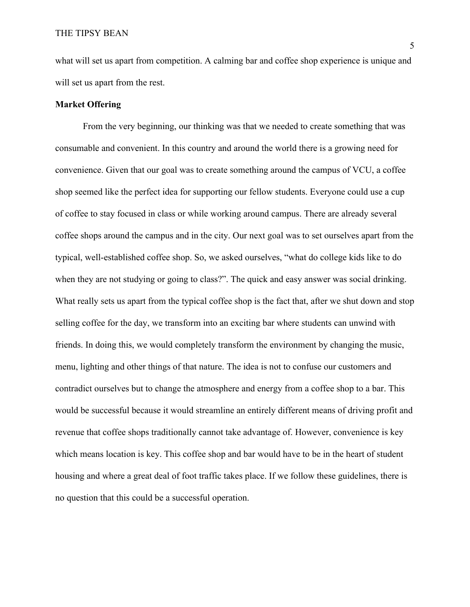what will set us apart from competition. A calming bar and coffee shop experience is unique and will set us apart from the rest.

### **Market Offering**

From the very beginning, our thinking was that we needed to create something that was consumable and convenient. In this country and around the world there is a growing need for convenience. Given that our goal was to create something around the campus of VCU, a coffee shop seemed like the perfect idea for supporting our fellow students. Everyone could use a cup of coffee to stay focused in class or while working around campus. There are already several coffee shops around the campus and in the city. Our next goal was to set ourselves apart from the typical, well-established coffee shop. So, we asked ourselves, "what do college kids like to do when they are not studying or going to class?". The quick and easy answer was social drinking. What really sets us apart from the typical coffee shop is the fact that, after we shut down and stop selling coffee for the day, we transform into an exciting bar where students can unwind with friends. In doing this, we would completely transform the environment by changing the music, menu, lighting and other things of that nature. The idea is not to confuse our customers and contradict ourselves but to change the atmosphere and energy from a coffee shop to a bar. This would be successful because it would streamline an entirely different means of driving profit and revenue that coffee shops traditionally cannot take advantage of. However, convenience is key which means location is key. This coffee shop and bar would have to be in the heart of student housing and where a great deal of foot traffic takes place. If we follow these guidelines, there is no question that this could be a successful operation.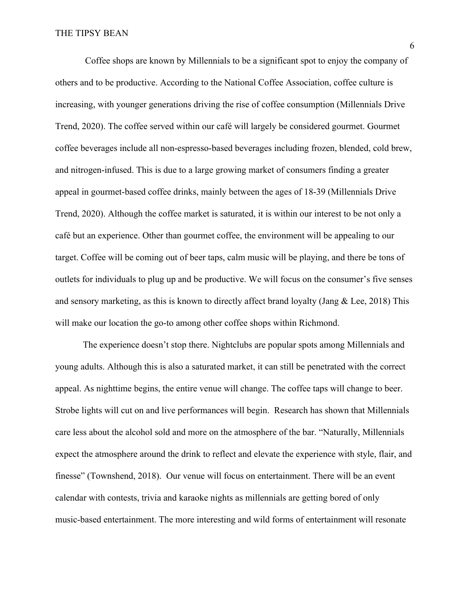Coffee shops are known by Millennials to be a significant spot to enjoy the company of others and to be productive. According to the National Coffee Association, coffee culture is increasing, with younger generations driving the rise of coffee consumption (Millennials Drive Trend, 2020). The coffee served within our café will largely be considered gourmet. Gourmet coffee beverages include all non-espresso-based beverages including frozen, blended, cold brew, and nitrogen-infused. This is due to a large growing market of consumers finding a greater appeal in gourmet-based coffee drinks, mainly between the ages of 18-39 (Millennials Drive Trend, 2020). Although the coffee market is saturated, it is within our interest to be not only a café but an experience. Other than gourmet coffee, the environment will be appealing to our target. Coffee will be coming out of beer taps, calm music will be playing, and there be tons of outlets for individuals to plug up and be productive. We will focus on the consumer's five senses and sensory marketing, as this is known to directly affect brand loyalty (Jang & Lee, 2018) This will make our location the go-to among other coffee shops within Richmond.

The experience doesn't stop there. Nightclubs are popular spots among Millennials and young adults. Although this is also a saturated market, it can still be penetrated with the correct appeal. As nighttime begins, the entire venue will change. The coffee taps will change to beer. Strobe lights will cut on and live performances will begin. Research has shown that Millennials care less about the alcohol sold and more on the atmosphere of the bar. "Naturally, Millennials expect the atmosphere around the drink to reflect and elevate the experience with style, flair, and finesse" (Townshend, 2018). Our venue will focus on entertainment. There will be an event calendar with contests, trivia and karaoke nights as millennials are getting bored of only music-based entertainment. The more interesting and wild forms of entertainment will resonate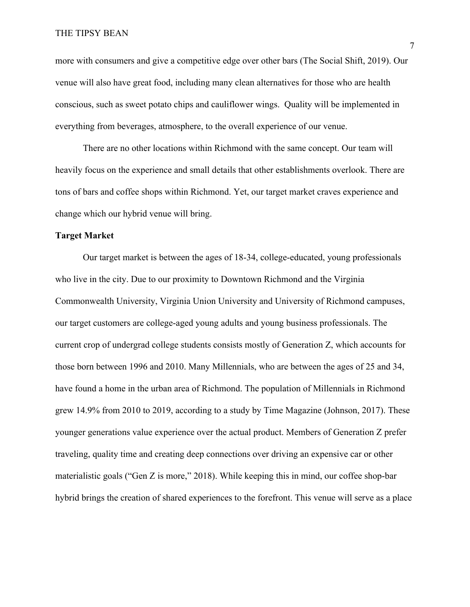### THE TIPSY BEAN

more with consumers and give a competitive edge over other bars (The Social Shift, 2019). Our venue will also have great food, including many clean alternatives for those who are health conscious, such as sweet potato chips and cauliflower wings. Quality will be implemented in everything from beverages, atmosphere, to the overall experience of our venue.

There are no other locations within Richmond with the same concept. Our team will heavily focus on the experience and small details that other establishments overlook. There are tons of bars and coffee shops within Richmond. Yet, our target market craves experience and change which our hybrid venue will bring.

### **Target Market**

Our target market is between the ages of 18-34, college-educated, young professionals who live in the city. Due to our proximity to Downtown Richmond and the Virginia Commonwealth University, Virginia Union University and University of Richmond campuses, our target customers are college-aged young adults and young business professionals. The current crop of undergrad college students consists mostly of Generation Z, which accounts for those born between 1996 and 2010. Many Millennials, who are between the ages of 25 and 34, have found a home in the urban area of Richmond. The population of Millennials in Richmond grew 14.9% from 2010 to 2019, according to a study by Time Magazine (Johnson, 2017). These younger generations value experience over the actual product. Members of Generation Z prefer traveling, quality time and creating deep connections over driving an expensive car or other materialistic goals ("Gen Z is more," 2018). While keeping this in mind, our coffee shop-bar hybrid brings the creation of shared experiences to the forefront. This venue will serve as a place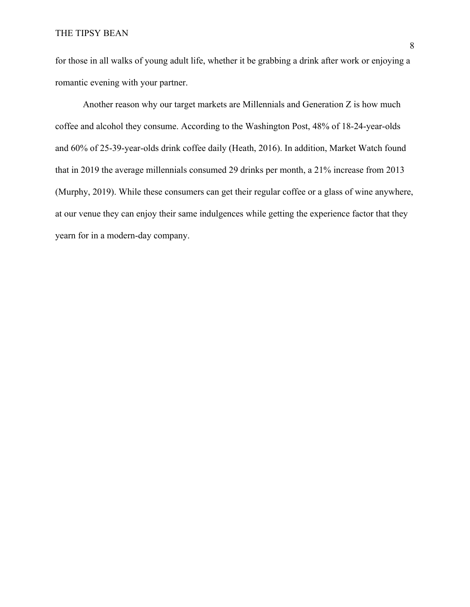for those in all walks of young adult life, whether it be grabbing a drink after work or enjoying a romantic evening with your partner.

Another reason why our target markets are Millennials and Generation Z is how much coffee and alcohol they consume. According to the Washington Post, 48% of 18-24-year-olds and 60% of 25-39-year-olds drink coffee daily (Heath, 2016). In addition, Market Watch found that in 2019 the average millennials consumed 29 drinks per month, a 21% increase from 2013 (Murphy, 2019). While these consumers can get their regular coffee or a glass of wine anywhere, at our venue they can enjoy their same indulgences while getting the experience factor that they yearn for in a modern-day company.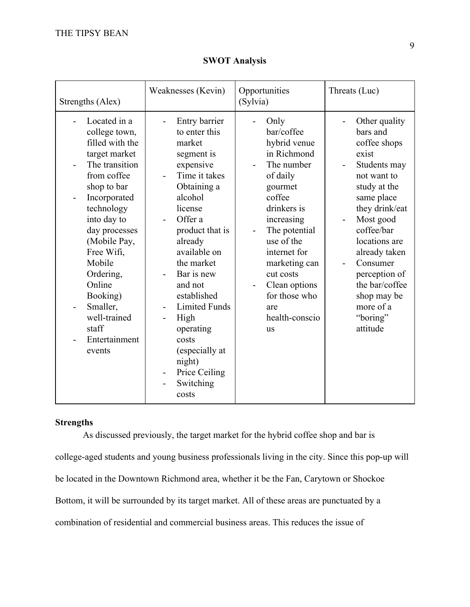| Strengths (Alex)                                                                                                                                                                                                                                                                                                           | Weaknesses (Kevin)                                                                                                                                                                                                                                                                                                                                                                                                            | Opportunities<br>(Sylvia)                                                                                                                                                                                                                                                                                          | Threats (Luc)                                                                                                                                                                                                                                                                                                                                   |
|----------------------------------------------------------------------------------------------------------------------------------------------------------------------------------------------------------------------------------------------------------------------------------------------------------------------------|-------------------------------------------------------------------------------------------------------------------------------------------------------------------------------------------------------------------------------------------------------------------------------------------------------------------------------------------------------------------------------------------------------------------------------|--------------------------------------------------------------------------------------------------------------------------------------------------------------------------------------------------------------------------------------------------------------------------------------------------------------------|-------------------------------------------------------------------------------------------------------------------------------------------------------------------------------------------------------------------------------------------------------------------------------------------------------------------------------------------------|
| Located in a<br>college town,<br>filled with the<br>target market<br>The transition<br>from coffee<br>shop to bar<br>Incorporated<br>technology<br>into day to<br>day processes<br>(Mobile Pay,<br>Free Wifi,<br>Mobile<br>Ordering,<br>Online<br>Booking)<br>Smaller,<br>well-trained<br>staff<br>Entertainment<br>events | Entry barrier<br>$\overline{\phantom{0}}$<br>to enter this<br>market<br>segment is<br>expensive<br>Time it takes<br>Obtaining a<br>alcohol<br>license<br>Offer a<br>product that is<br>already<br>available on<br>the market<br>Bar is new<br>and not<br>established<br><b>Limited Funds</b><br>$\qquad \qquad \blacksquare$<br>High<br>operating<br>costs<br>(especially at<br>night)<br>Price Ceiling<br>Switching<br>costs | Only<br>bar/coffee<br>hybrid venue<br>in Richmond<br>The number<br>of daily<br>gourmet<br>coffee<br>drinkers is<br>increasing<br>The potential<br>use of the<br>internet for<br>marketing can<br>cut costs<br>Clean options<br>$\qquad \qquad \blacksquare$<br>for those who<br>are<br>health-conscio<br><b>us</b> | Other quality<br>bars and<br>coffee shops<br>exist<br>Students may<br>$\blacksquare$<br>not want to<br>study at the<br>same place<br>they drink/eat<br>Most good<br>coffee/bar<br>locations are<br>already taken<br>Consumer<br>$\overline{\phantom{a}}$<br>perception of<br>the bar/coffee<br>shop may be<br>more of a<br>"boring"<br>attitude |

**SWOT Analysis**

# **Strengths**

As discussed previously, the target market for the hybrid coffee shop and bar is college-aged students and young business professionals living in the city. Since this pop-up will be located in the Downtown Richmond area, whether it be the Fan, Carytown or Shockoe Bottom, it will be surrounded by its target market. All of these areas are punctuated by a combination of residential and commercial business areas. This reduces the issue of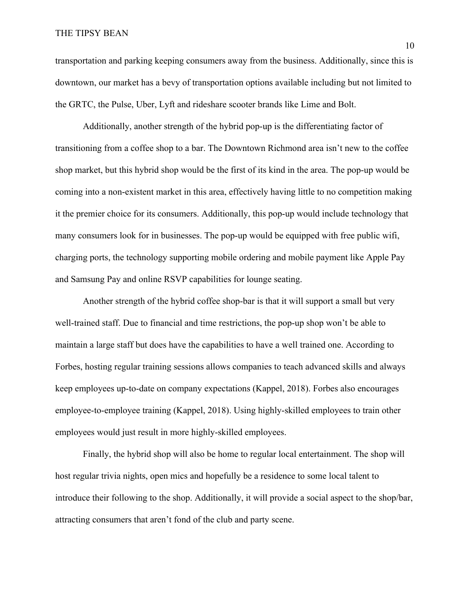### THE TIPSY BEAN

transportation and parking keeping consumers away from the business. Additionally, since this is downtown, our market has a bevy of transportation options available including but not limited to the GRTC, the Pulse, Uber, Lyft and rideshare scooter brands like Lime and Bolt.

Additionally, another strength of the hybrid pop-up is the differentiating factor of transitioning from a coffee shop to a bar. The Downtown Richmond area isn't new to the coffee shop market, but this hybrid shop would be the first of its kind in the area. The pop-up would be coming into a non-existent market in this area, effectively having little to no competition making it the premier choice for its consumers. Additionally, this pop-up would include technology that many consumers look for in businesses. The pop-up would be equipped with free public wifi, charging ports, the technology supporting mobile ordering and mobile payment like Apple Pay and Samsung Pay and online RSVP capabilities for lounge seating.

Another strength of the hybrid coffee shop-bar is that it will support a small but very well-trained staff. Due to financial and time restrictions, the pop-up shop won't be able to maintain a large staff but does have the capabilities to have a well trained one. According to Forbes, hosting regular training sessions allows companies to teach advanced skills and always keep employees up-to-date on company expectations (Kappel, 2018). Forbes also encourages employee-to-employee training (Kappel, 2018). Using highly-skilled employees to train other employees would just result in more highly-skilled employees.

Finally, the hybrid shop will also be home to regular local entertainment. The shop will host regular trivia nights, open mics and hopefully be a residence to some local talent to introduce their following to the shop. Additionally, it will provide a social aspect to the shop/bar, attracting consumers that aren't fond of the club and party scene.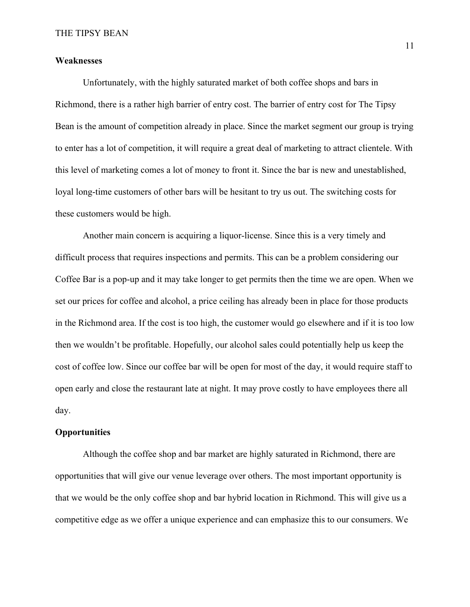## **Weaknesses**

Unfortunately, with the highly saturated market of both coffee shops and bars in Richmond, there is a rather high barrier of entry cost. The barrier of entry cost for The Tipsy Bean is the amount of competition already in place. Since the market segment our group is trying to enter has a lot of competition, it will require a great deal of marketing to attract clientele. With this level of marketing comes a lot of money to front it. Since the bar is new and unestablished, loyal long-time customers of other bars will be hesitant to try us out. The switching costs for these customers would be high.

Another main concern is acquiring a liquor-license. Since this is a very timely and difficult process that requires inspections and permits. This can be a problem considering our Coffee Bar is a pop-up and it may take longer to get permits then the time we are open. When we set our prices for coffee and alcohol, a price ceiling has already been in place for those products in the Richmond area. If the cost is too high, the customer would go elsewhere and if it is too low then we wouldn't be profitable. Hopefully, our alcohol sales could potentially help us keep the cost of coffee low. Since our coffee bar will be open for most of the day, it would require staff to open early and close the restaurant late at night. It may prove costly to have employees there all day.

# **Opportunities**

Although the coffee shop and bar market are highly saturated in Richmond, there are opportunities that will give our venue leverage over others. The most important opportunity is that we would be the only coffee shop and bar hybrid location in Richmond. This will give us a competitive edge as we offer a unique experience and can emphasize this to our consumers. We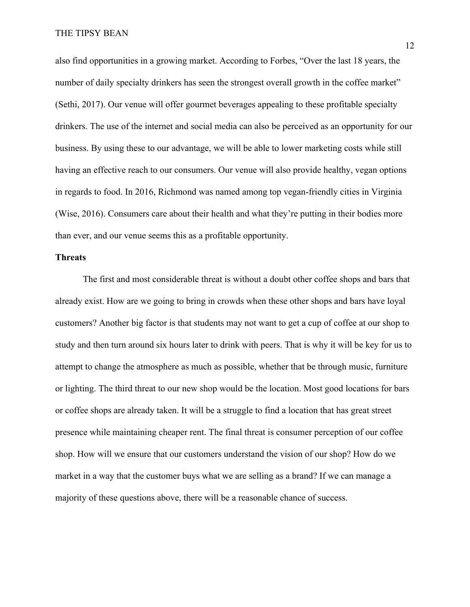also find opportunities in a growing market. According to Forbes, "Over the last 18 years, the number of daily specialty drinkers has seen the strongest overall growth in the coffee market" (Sethi, 2017). Our venue will offer gourmet beverages appealing to these profitable specialty drinkers. The use of the internet and social media can also be perceived as an opportunity for our business. By using these to our advantage, we will be able to lower marketing costs while still having an effective reach to our consumers. Our venue will also provide healthy, vegan options in regards to food. In 2016, Richmond was named among top vegan-friendly cities in Virginia (Wise, 2016). Consumers care about their health and what they're putting in their bodies more than ever, and our venue seems this as a profitable opportunity.

### **Threats**

The first and most considerable threat is without a doubt other coffee shops and bars that already exist. How are we going to bring in crowds when these other shops and bars have loyal customers? Another big factor is that students may not want to get a cup of coffee at our shop to study and then turn around six hours later to drink with peers. That is why it will be key for us to attempt to change the atmosphere as much as possible, whether that be through music, furniture or lighting. The third threat to our new shop would be the location. Most good locations for bars or coffee shops are already taken. It will be a struggle to find a location that has great street presence while maintaining cheaper rent. The final threat is consumer perception of our coffee shop. How will we ensure that our customers understand the vision of our shop? How do we market in a way that the customer buys what we are selling as a brand? If we can manage a majority of these questions above, there will be a reasonable chance of success.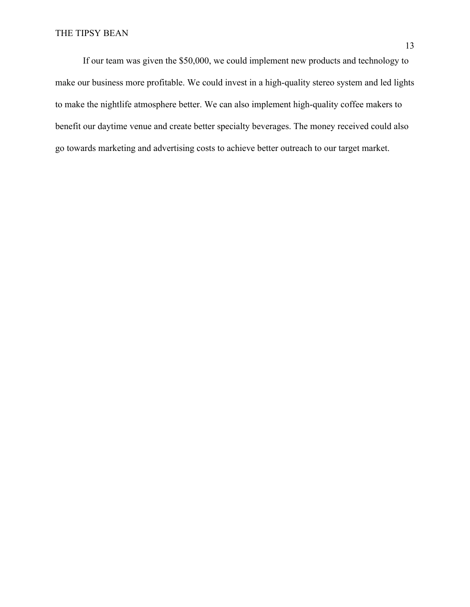# THE TIPSY BEAN

If our team was given the \$50,000, we could implement new products and technology to make our business more profitable. We could invest in a high-quality stereo system and led lights to make the nightlife atmosphere better. We can also implement high-quality coffee makers to benefit our daytime venue and create better specialty beverages. The money received could also go towards marketing and advertising costs to achieve better outreach to our target market.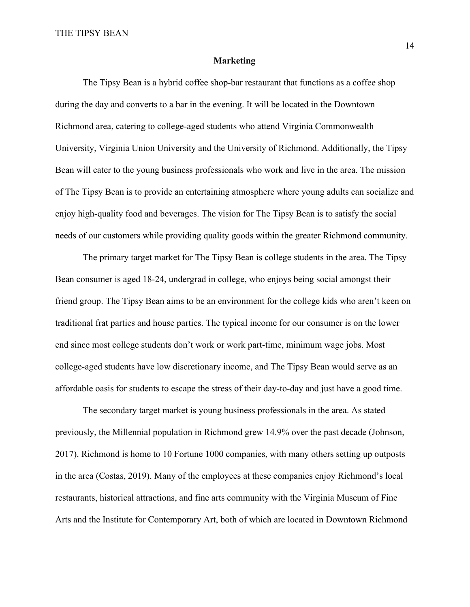### **Marketing**

The Tipsy Bean is a hybrid coffee shop-bar restaurant that functions as a coffee shop during the day and converts to a bar in the evening. It will be located in the Downtown Richmond area, catering to college-aged students who attend Virginia Commonwealth University, Virginia Union University and the University of Richmond. Additionally, the Tipsy Bean will cater to the young business professionals who work and live in the area. The mission of The Tipsy Bean is to provide an entertaining atmosphere where young adults can socialize and enjoy high-quality food and beverages. The vision for The Tipsy Bean is to satisfy the social needs of our customers while providing quality goods within the greater Richmond community.

The primary target market for The Tipsy Bean is college students in the area. The Tipsy Bean consumer is aged 18-24, undergrad in college, who enjoys being social amongst their friend group. The Tipsy Bean aims to be an environment for the college kids who aren't keen on traditional frat parties and house parties. The typical income for our consumer is on the lower end since most college students don't work or work part-time, minimum wage jobs. Most college-aged students have low discretionary income, and The Tipsy Bean would serve as an affordable oasis for students to escape the stress of their day-to-day and just have a good time.

The secondary target market is young business professionals in the area. As stated previously, the Millennial population in Richmond grew 14.9% over the past decade (Johnson, 2017). Richmond is home to 10 Fortune 1000 companies, with many others setting up outposts in the area (Costas, 2019). Many of the employees at these companies enjoy Richmond's local restaurants, historical attractions, and fine arts community with the Virginia Museum of Fine Arts and the Institute for Contemporary Art, both of which are located in Downtown Richmond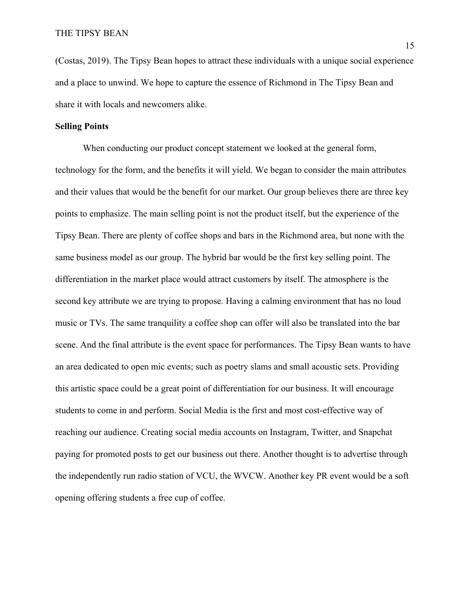(Costas, 2019). The Tipsy Bean hopes to attract these individuals with a unique social experience and a place to unwind. We hope to capture the essence of Richmond in The Tipsy Bean and share it with locals and newcomers alike.

## **Selling Points**

When conducting our product concept statement we looked at the general form, technology for the form, and the benefits it will yield. We began to consider the main attributes and their values that would be the benefit for our market. Our group believes there are three key points to emphasize. The main selling point is not the product itself, but the experience of the Tipsy Bean. There are plenty of coffee shops and bars in the Richmond area, but none with the same business model as our group. The hybrid bar would be the first key selling point. The differentiation in the market place would attract customers by itself. The atmosphere is the second key attribute we are trying to propose. Having a calming environment that has no loud music or TVs. The same tranquility a coffee shop can offer will also be translated into the bar scene. And the final attribute is the event space for performances. The Tipsy Bean wants to have an area dedicated to open mic events; such as poetry slams and small acoustic sets. Providing this artistic space could be a great point of differentiation for our business. It will encourage students to come in and perform. Social Media is the first and most cost-effective way of reaching our audience. Creating social media accounts on Instagram, Twitter, and Snapchat paying for promoted posts to get our business out there. Another thought is to advertise through the independently run radio station of VCU, the WVCW. Another key PR event would be a soft opening offering students a free cup of coffee.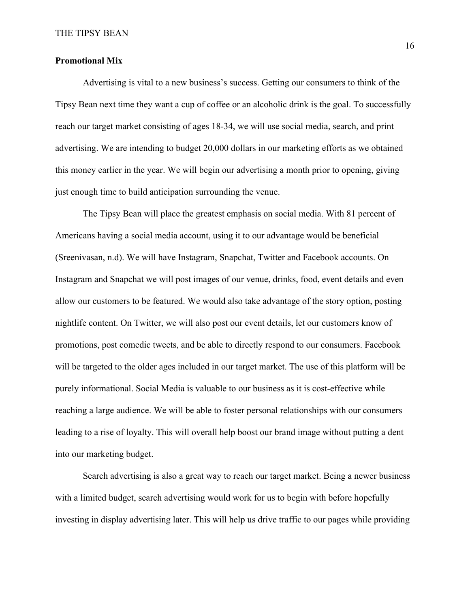# **Promotional Mix**

Advertising is vital to a new business's success. Getting our consumers to think of the Tipsy Bean next time they want a cup of coffee or an alcoholic drink is the goal. To successfully reach our target market consisting of ages 18-34, we will use social media, search, and print advertising. We are intending to budget 20,000 dollars in our marketing efforts as we obtained this money earlier in the year. We will begin our advertising a month prior to opening, giving just enough time to build anticipation surrounding the venue.

 The Tipsy Bean will place the greatest emphasis on social media. With 81 percent of Americans having a social media account, using it to our advantage would be beneficial (Sreenivasan, n.d). We will have Instagram, Snapchat, Twitter and Facebook accounts. On Instagram and Snapchat we will post images of our venue, drinks, food, event details and even allow our customers to be featured. We would also take advantage of the story option, posting nightlife content. On Twitter, we will also post our event details, let our customers know of promotions, post comedic tweets, and be able to directly respond to our consumers. Facebook will be targeted to the older ages included in our target market. The use of this platform will be purely informational. Social Media is valuable to our business as it is cost-effective while reaching a large audience. We will be able to foster personal relationships with our consumers leading to a rise of loyalty. This will overall help boost our brand image without putting a dent into our marketing budget.

 Search advertising is also a great way to reach our target market. Being a newer business with a limited budget, search advertising would work for us to begin with before hopefully investing in display advertising later. This will help us drive traffic to our pages while providing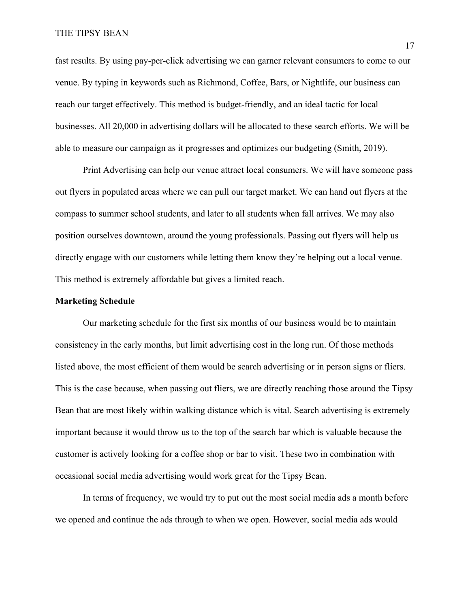fast results. By using pay-per-click advertising we can garner relevant consumers to come to our venue. By typing in keywords such as Richmond, Coffee, Bars, or Nightlife, our business can reach our target effectively. This method is budget-friendly, and an ideal tactic for local businesses. All 20,000 in advertising dollars will be allocated to these search efforts. We will be able to measure our campaign as it progresses and optimizes our budgeting (Smith, 2019).

 Print Advertising can help our venue attract local consumers. We will have someone pass out flyers in populated areas where we can pull our target market. We can hand out flyers at the compass to summer school students, and later to all students when fall arrives. We may also position ourselves downtown, around the young professionals. Passing out flyers will help us directly engage with our customers while letting them know they're helping out a local venue. This method is extremely affordable but gives a limited reach.

## **Marketing Schedule**

Our marketing schedule for the first six months of our business would be to maintain consistency in the early months, but limit advertising cost in the long run. Of those methods listed above, the most efficient of them would be search advertising or in person signs or fliers. This is the case because, when passing out fliers, we are directly reaching those around the Tipsy Bean that are most likely within walking distance which is vital. Search advertising is extremely important because it would throw us to the top of the search bar which is valuable because the customer is actively looking for a coffee shop or bar to visit. These two in combination with occasional social media advertising would work great for the Tipsy Bean.

In terms of frequency, we would try to put out the most social media ads a month before we opened and continue the ads through to when we open. However, social media ads would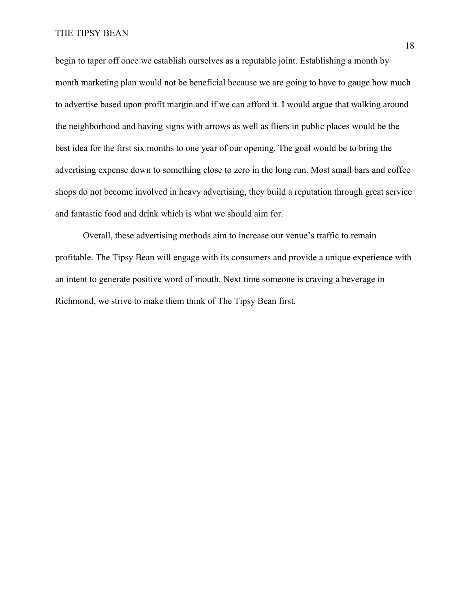begin to taper off once we establish ourselves as a reputable joint. Establishing a month by month marketing plan would not be beneficial because we are going to have to gauge how much to advertise based upon profit margin and if we can afford it. I would argue that walking around the neighborhood and having signs with arrows as well as fliers in public places would be the best idea for the first six months to one year of our opening. The goal would be to bring the advertising expense down to something close to zero in the long run. Most small bars and coffee shops do not become involved in heavy advertising, they build a reputation through great service and fantastic food and drink which is what we should aim for.

Overall, these advertising methods aim to increase our venue's traffic to remain profitable. The Tipsy Bean will engage with its consumers and provide a unique experience with an intent to generate positive word of mouth. Next time someone is craving a beverage in Richmond, we strive to make them think of The Tipsy Bean first.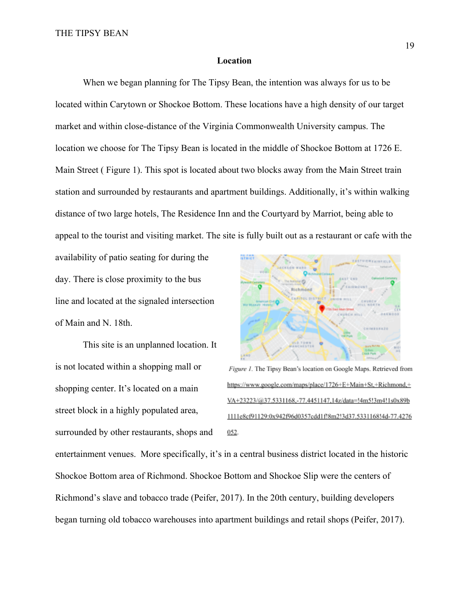#### **Location**

When we began planning for The Tipsy Bean, the intention was always for us to be located within Carytown or Shockoe Bottom. These locations have a high density of our target market and within close-distance of the Virginia Commonwealth University campus. The location we choose for The Tipsy Bean is located in the middle of Shockoe Bottom at 1726 E. Main Street ( Figure 1). This spot is located about two blocks away from the Main Street train station and surrounded by restaurants and apartment buildings. Additionally, it's within walking distance of two large hotels, The Residence Inn and the Courtyard by Marriot, being able to appeal to the tourist and visiting market. The site is fully built out as a restaurant or cafe with the

availability of patio seating for during the day. There is close proximity to the bus line and located at the signaled intersection of Main and N. 18th.

This site is an unplanned location. It is not located within a shopping mall or shopping center. It's located on a main street block in a highly populated area, surrounded by other restaurants, shops and



Figure 1. The Tipsy Bean's location on Google Maps. Retrieved from https://www.google.com/maps/place/1726+E+Main+St,+Richmond,+ VA+23223/@37.5331168,-77.4451147,14z/data=!4m5!3m4!1s0x89b 1111e8ef91129:0x942f96d0357edd1f!8m2!3d37.5331168!4d-77.4276  $0.52$ 

entertainment venues. More specifically, it's in a central business district located in the historic Shockoe Bottom area of Richmond. Shockoe Bottom and Shockoe Slip were the centers of Richmond's slave and tobacco trade (Peifer, 2017). In the 20th century, building developers began turning old tobacco warehouses into apartment buildings and retail shops (Peifer, 2017).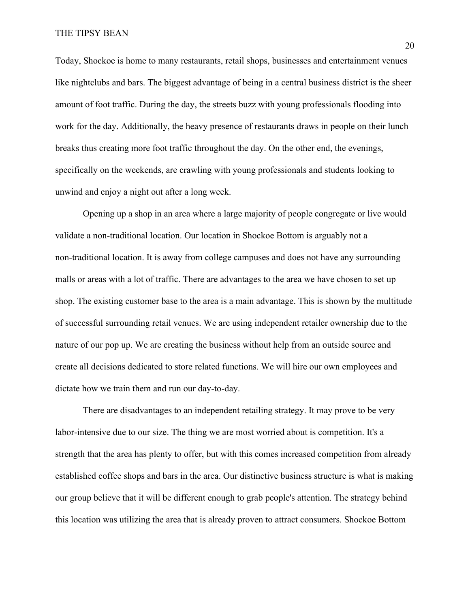Today, Shockoe is home to many restaurants, retail shops, businesses and entertainment venues like nightclubs and bars. The biggest advantage of being in a central business district is the sheer amount of foot traffic. During the day, the streets buzz with young professionals flooding into work for the day. Additionally, the heavy presence of restaurants draws in people on their lunch breaks thus creating more foot traffic throughout the day. On the other end, the evenings, specifically on the weekends, are crawling with young professionals and students looking to unwind and enjoy a night out after a long week.

Opening up a shop in an area where a large majority of people congregate or live would validate a non-traditional location. Our location in Shockoe Bottom is arguably not a non-traditional location. It is away from college campuses and does not have any surrounding malls or areas with a lot of traffic. There are advantages to the area we have chosen to set up shop. The existing customer base to the area is a main advantage. This is shown by the multitude of successful surrounding retail venues. We are using independent retailer ownership due to the nature of our pop up. We are creating the business without help from an outside source and create all decisions dedicated to store related functions. We will hire our own employees and dictate how we train them and run our day-to-day.

There are disadvantages to an independent retailing strategy. It may prove to be very labor-intensive due to our size. The thing we are most worried about is competition. It's a strength that the area has plenty to offer, but with this comes increased competition from already established coffee shops and bars in the area. Our distinctive business structure is what is making our group believe that it will be different enough to grab people's attention. The strategy behind this location was utilizing the area that is already proven to attract consumers. Shockoe Bottom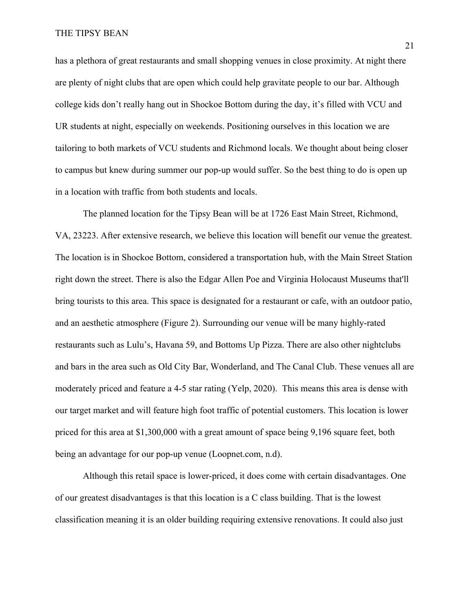has a plethora of great restaurants and small shopping venues in close proximity. At night there are plenty of night clubs that are open which could help gravitate people to our bar. Although college kids don't really hang out in Shockoe Bottom during the day, it's filled with VCU and UR students at night, especially on weekends. Positioning ourselves in this location we are tailoring to both markets of VCU students and Richmond locals. We thought about being closer to campus but knew during summer our pop-up would suffer. So the best thing to do is open up in a location with traffic from both students and locals.

The planned location for the Tipsy Bean will be at 1726 East Main Street, Richmond, VA, 23223. After extensive research, we believe this location will benefit our venue the greatest. The location is in Shockoe Bottom, considered a transportation hub, with the Main Street Station right down the street. There is also the Edgar Allen Poe and Virginia Holocaust Museums that'll bring tourists to this area. This space is designated for a restaurant or cafe, with an outdoor patio, and an aesthetic atmosphere (Figure 2). Surrounding our venue will be many highly-rated restaurants such as Lulu's, Havana 59, and Bottoms Up Pizza. There are also other nightclubs and bars in the area such as Old City Bar, Wonderland, and The Canal Club. These venues all are moderately priced and feature a 4-5 star rating (Yelp, 2020). This means this area is dense with our target market and will feature high foot traffic of potential customers. This location is lower priced for this area at \$1,300,000 with a great amount of space being 9,196 square feet, both being an advantage for our pop-up venue (Loopnet.com, n.d).

Although this retail space is lower-priced, it does come with certain disadvantages. One of our greatest disadvantages is that this location is a C class building. That is the lowest classification meaning it is an older building requiring extensive renovations. It could also just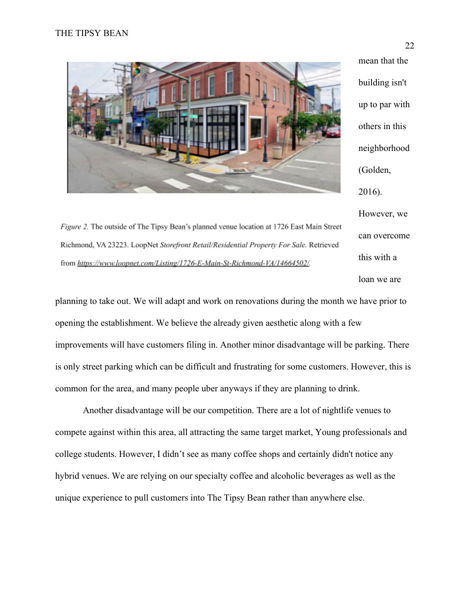

building isn't up to par with others in this neighborhood (Golden, 2016). However, we can overcome this with a loan we are

mean that the

Figure 2. The outside of The Tipsy Bean's planned venue location at 1726 East Main Street Richmond, VA 23223. LoopNet Storefront Retail/Residential Property For Sale. Retrieved from https://www.loopnet.com/Listing/1726-E-Main-St-Richmond-VA/14664502/.

planning to take out. We will adapt and work on renovations during the month we have prior to opening the establishment. We believe the already given aesthetic along with a few improvements will have customers filing in. Another minor disadvantage will be parking. There is only street parking which can be difficult and frustrating for some customers. However, this is common for the area, and many people uber anyways if they are planning to drink.

Another disadvantage will be our competition. There are a lot of nightlife venues to compete against within this area, all attracting the same target market, Young professionals and college students. However, I didn't see as many coffee shops and certainly didn't notice any hybrid venues. We are relying on our specialty coffee and alcoholic beverages as well as the unique experience to pull customers into The Tipsy Bean rather than anywhere else.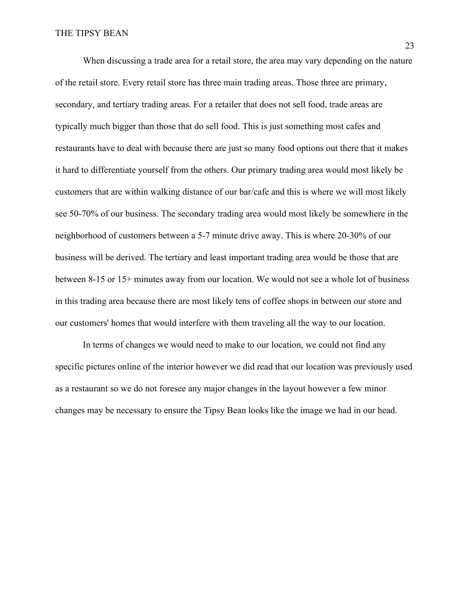When discussing a trade area for a retail store, the area may vary depending on the nature of the retail store. Every retail store has three main trading areas. Those three are primary, secondary, and tertiary trading areas. For a retailer that does not sell food, trade areas are typically much bigger than those that do sell food. This is just something most cafes and restaurants have to deal with because there are just so many food options out there that it makes it hard to differentiate yourself from the others. Our primary trading area would most likely be customers that are within walking distance of our bar/cafe and this is where we will most likely see 50-70% of our business. The secondary trading area would most likely be somewhere in the neighborhood of customers between a 5-7 minute drive away. This is where 20-30% of our business will be derived. The tertiary and least important trading area would be those that are between 8-15 or 15+ minutes away from our location. We would not see a whole lot of business in this trading area because there are most likely tens of coffee shops in between our store and our customers' homes that would interfere with them traveling all the way to our location.

In terms of changes we would need to make to our location, we could not find any specific pictures online of the interior however we did read that our location was previously used as a restaurant so we do not foresee any major changes in the layout however a few minor changes may be necessary to ensure the Tipsy Bean looks like the image we had in our head.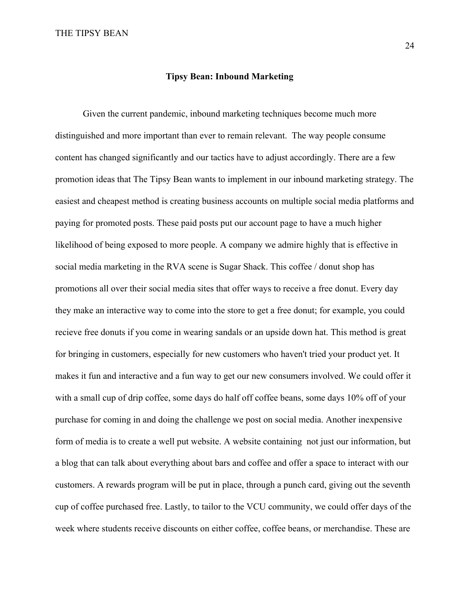#### **Tipsy Bean: Inbound Marketing**

Given the current pandemic, inbound marketing techniques become much more distinguished and more important than ever to remain relevant. The way people consume content has changed significantly and our tactics have to adjust accordingly. There are a few promotion ideas that The Tipsy Bean wants to implement in our inbound marketing strategy. The easiest and cheapest method is creating business accounts on multiple social media platforms and paying for promoted posts. These paid posts put our account page to have a much higher likelihood of being exposed to more people. A company we admire highly that is effective in social media marketing in the RVA scene is Sugar Shack. This coffee / donut shop has promotions all over their social media sites that offer ways to receive a free donut. Every day they make an interactive way to come into the store to get a free donut; for example, you could recieve free donuts if you come in wearing sandals or an upside down hat. This method is great for bringing in customers, especially for new customers who haven't tried your product yet. It makes it fun and interactive and a fun way to get our new consumers involved. We could offer it with a small cup of drip coffee, some days do half off coffee beans, some days 10% off of your purchase for coming in and doing the challenge we post on social media. Another inexpensive form of media is to create a well put website. A website containing not just our information, but a blog that can talk about everything about bars and coffee and offer a space to interact with our customers. A rewards program will be put in place, through a punch card, giving out the seventh cup of coffee purchased free. Lastly, to tailor to the VCU community, we could offer days of the week where students receive discounts on either coffee, coffee beans, or merchandise. These are

24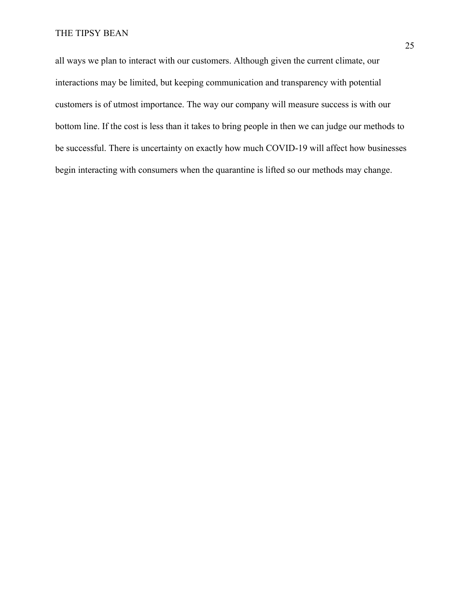all ways we plan to interact with our customers. Although given the current climate, our interactions may be limited, but keeping communication and transparency with potential customers is of utmost importance. The way our company will measure success is with our bottom line. If the cost is less than it takes to bring people in then we can judge our methods to be successful. There is uncertainty on exactly how much COVID-19 will affect how businesses begin interacting with consumers when the quarantine is lifted so our methods may change.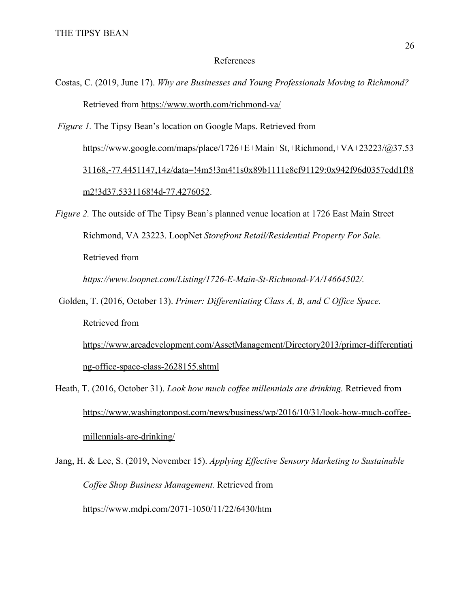### References

Costas, C. (2019, June 17). *Why are Businesses and Young Professionals Moving to Richmond?* Retrieved from <https://www.worth.com/richmond-va/>

 *Figure 1.* The Tipsy Bean's location on Google Maps. Retrieved from [https://www.google.com/maps/place/1726+E+Main+St,+Richmond,+VA+23223/@37.53](https://www.google.com/maps/place/1726+E+Main+St,+Richmond,+VA+23223/@37.5331168,-77.4451147,14z/data=!4m5!3m4!1s0x89b1111e8cf91129:0x942f96d0357cdd1f!8m2!3d37.5331168!4d-77.4276052) [31168,-77.4451147,14z/data=!4m5!3m4!1s0x89b1111e8cf91129:0x942f96d0357cdd1f!8](https://www.google.com/maps/place/1726+E+Main+St,+Richmond,+VA+23223/@37.5331168,-77.4451147,14z/data=!4m5!3m4!1s0x89b1111e8cf91129:0x942f96d0357cdd1f!8m2!3d37.5331168!4d-77.4276052) [m2!3d37.5331168!4d-77.4276052](https://www.google.com/maps/place/1726+E+Main+St,+Richmond,+VA+23223/@37.5331168,-77.4451147,14z/data=!4m5!3m4!1s0x89b1111e8cf91129:0x942f96d0357cdd1f!8m2!3d37.5331168!4d-77.4276052).

*Figure 2.* The outside of The Tipsy Bean's planned venue location at 1726 East Main Street Richmond, VA 23223. LoopNet *Storefront Retail/Residential Property For Sale.* Retrieved from

*[https://www.loopnet.com/Listing/1726-E-Main-St-Richmond-VA/14664502/.](https://www.loopnet.com/Listing/1726-E-Main-St-Richmond-VA/14664502/)*

Golden, T. (2016, October 13). *Primer: Differentiating Class A, B, and C Office Space.* Retrieved from

[https://www.areadevelopment.com/AssetManagement/Directory2013/primer-differentiati](https://www.areadevelopment.com/AssetManagement/Directory2013/primer-differentiating-office-space-class-2628155.shtml) [ng-office-space-class-2628155.shtml](https://www.areadevelopment.com/AssetManagement/Directory2013/primer-differentiating-office-space-class-2628155.shtml)

- Heath, T. (2016, October 31). *Look how much coffee millennials are drinking.* Retrieved from [https://www.washingtonpost.com/news/business/wp/2016/10/31/look-how-much-coffee](https://www.washingtonpost.com/news/business/wp/2016/10/31/look-how-much-coffee-millennials-are-drinking/)[millennials-are-drinking/](https://www.washingtonpost.com/news/business/wp/2016/10/31/look-how-much-coffee-millennials-are-drinking/)
- Jang, H. & Lee, S. (2019, November 15). *Applying Effective Sensory Marketing to Sustainable Coffee Shop Business Management.* Retrieved from <https://www.mdpi.com/2071-1050/11/22/6430/htm>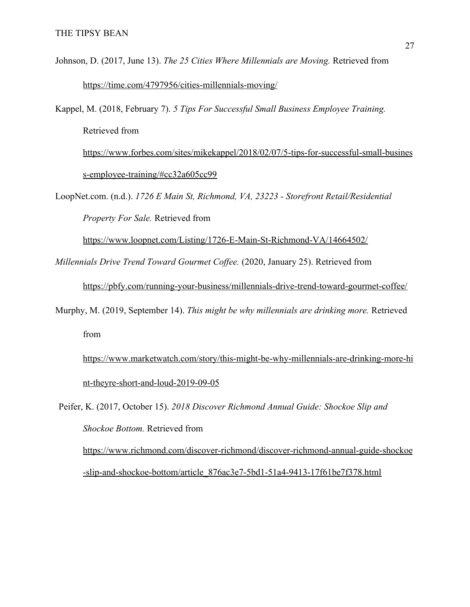Johnson, D. (2017, June 13). *The 25 Cities Where Millennials are Moving.* Retrieved from <https://time.com/4797956/cities-millennials-moving/>

Kappel, M. (2018, February 7). *5 Tips For Successful Small Business Employee Training.* Retrieved from [https://www.forbes.com/sites/mikekappel/2018/02/07/5-tips-for-successful-small-busines](https://www.forbes.com/sites/mikekappel/2018/02/07/5-tips-for-successful-small-business-employee-training/#cc32a605cc99) [s-employee-training/#cc32a605cc99](https://www.forbes.com/sites/mikekappel/2018/02/07/5-tips-for-successful-small-business-employee-training/#cc32a605cc99)

LoopNet.com. (n.d.). *1726 E Main St, Richmond, VA, 23223 - Storefront Retail/Residential Property For Sale.* Retrieved from

<https://www.loopnet.com/Listing/1726-E-Main-St-Richmond-VA/14664502/>

*Millennials Drive Trend Toward Gourmet Coffee.* (2020, January 25). Retrieved from

<https://pbfy.com/running-your-business/millennials-drive-trend-toward-gourmet-coffee/>

Murphy, M. (2019, September 14). *This might be why millennials are drinking more.* Retrieved from

[https://www.marketwatch.com/story/this-might-be-why-millennials-are-drinking-more-hi](https://www.marketwatch.com/story/this-might-be-why-millennials-are-drinking-more-hint-theyre-short-and-loud-2019-09-05) [nt-theyre-short-and-loud-2019-09-05](https://www.marketwatch.com/story/this-might-be-why-millennials-are-drinking-more-hint-theyre-short-and-loud-2019-09-05)

Peifer, K. (2017, October 15). *2018 Discover Richmond Annual Guide: Shockoe Slip and Shockoe Bottom.* Retrieved from

[https://www.richmond.com/discover-richmond/discover-richmond-annual-guide-shockoe](https://www.richmond.com/discover-richmond/discover-richmond-annual-guide-shockoe-slip-and-shockoe-bottom/article_876ac3e7-5bd1-51a4-9413-17f61be7f378.html) [-slip-and-shockoe-bottom/article\\_876ac3e7-5bd1-51a4-9413-17f61be7f378.html](https://www.richmond.com/discover-richmond/discover-richmond-annual-guide-shockoe-slip-and-shockoe-bottom/article_876ac3e7-5bd1-51a4-9413-17f61be7f378.html)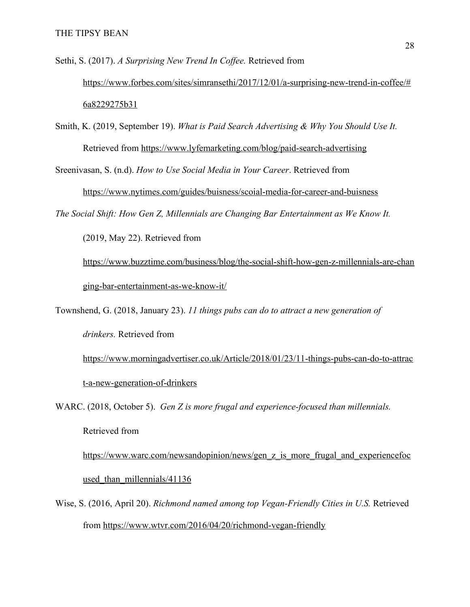Sethi, S. (2017). *A Surprising New Trend In Coffee.* Retrieved from [https://www.forbes.com/sites/simransethi/2017/12/01/a-surprising-new-trend-in-coffee/#](https://www.forbes.com/sites/simransethi/2017/12/01/a-surprising-new-trend-in-coffee/#6a8229275b31) [6a8229275b31](https://www.forbes.com/sites/simransethi/2017/12/01/a-surprising-new-trend-in-coffee/#6a8229275b31)

Smith, K. (2019, September 19). *What is Paid Search Advertising & Why You Should Use It.* Retrieved from [https://www.lyfemarketing.com/blog/paid-search-advertising](https://www.lyfemarketing.com/blog/paid-search-advertising/)

Sreenivasan, S. (n.d). *How to Use Social Media in Your Career*. Retrieved from <https://www.nytimes.com/guides/buisness/scoial-media-for-career-and-buisness>

*The Social Shift: How Gen Z, Millennials are Changing Bar Entertainment as We Know It.*

(2019, May 22). Retrieved from

[https://www.buzztime.com/business/blog/the-social-shift-how-gen-z-millennials-are-chan](https://www.buzztime.com/business/blog/the-social-shift-how-gen-z-millennials-are-changing-bar-entertainment-as-we-know-it/) [ging-bar-entertainment-as-we-know-it/](https://www.buzztime.com/business/blog/the-social-shift-how-gen-z-millennials-are-changing-bar-entertainment-as-we-know-it/)

Townshend, G. (2018, January 23). *11 things pubs can do to attract a new generation of drinkers.* Retrieved from

[https://www.morningadvertiser.co.uk/Article/2018/01/23/11-things-pubs-can-do-to-attrac](https://www.morningadvertiser.co.uk/Article/2018/01/23/11-things-pubs-can-do-to-attract-a-new-generation-of-drinkers) [t-a-new-generation-of-drinkers](https://www.morningadvertiser.co.uk/Article/2018/01/23/11-things-pubs-can-do-to-attract-a-new-generation-of-drinkers)

WARC. (2018, October 5). *Gen Z is more frugal and experience-focused than millennials.* Retrieved from [https://www.warc.com/newsandopinion/news/gen\\_z\\_is\\_more\\_frugal\\_and\\_experiencefoc](https://www.warc.com/newsandopinion/news/gen_z_is_more_frugal_and_experiencefocused_than_millennials/41136)

used than millennials/41136

Wise, S. (2016, April 20). *Richmond named among top Vegan-Friendly Cities in U.S.* Retrieved from<https://www.wtvr.com/2016/04/20/richmond-vegan-friendly>